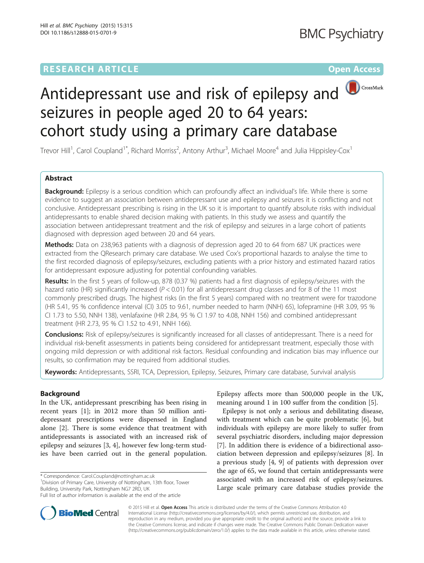# **RESEARCH ARTICLE Example 2014 12:30 The Contract of Contract ACCESS**



# Antidepressant use and risk of epilepsy and seizures in people aged 20 to 64 years: cohort study using a primary care database

Trevor Hill<sup>1</sup>, Carol Coupland<sup>1\*</sup>, Richard Morriss<sup>2</sup>, Antony Arthur<sup>3</sup>, Michael Moore<sup>4</sup> and Julia Hippisley-Cox<sup>1</sup>

# Abstract

**Background:** Epilepsy is a serious condition which can profoundly affect an individual's life. While there is some evidence to suggest an association between antidepressant use and epilepsy and seizures it is conflicting and not conclusive. Antidepressant prescribing is rising in the UK so it is important to quantify absolute risks with individual antidepressants to enable shared decision making with patients. In this study we assess and quantify the association between antidepressant treatment and the risk of epilepsy and seizures in a large cohort of patients diagnosed with depression aged between 20 and 64 years.

Methods: Data on 238,963 patients with a diagnosis of depression aged 20 to 64 from 687 UK practices were extracted from the QResearch primary care database. We used Cox's proportional hazards to analyse the time to the first recorded diagnosis of epilepsy/seizures, excluding patients with a prior history and estimated hazard ratios for antidepressant exposure adjusting for potential confounding variables.

Results: In the first 5 years of follow-up, 878 (0.37 %) patients had a first diagnosis of epilepsy/seizures with the hazard ratio (HR) significantly increased ( $P < 0.01$ ) for all antidepressant drug classes and for 8 of the 11 most commonly prescribed drugs. The highest risks (in the first 5 years) compared with no treatment were for trazodone (HR 5.41, 95 % confidence interval (CI) 3.05 to 9.61, number needed to harm (NNH) 65), lofepramine (HR 3.09, 95 % CI 1.73 to 5.50, NNH 138), venlafaxine (HR 2.84, 95 % CI 1.97 to 4.08, NNH 156) and combined antidepressant treatment (HR 2.73, 95 % CI 1.52 to 4.91, NNH 166).

Conclusions: Risk of epilepsy/seizures is significantly increased for all classes of antidepressant. There is a need for individual risk-benefit assessments in patients being considered for antidepressant treatment, especially those with ongoing mild depression or with additional risk factors. Residual confounding and indication bias may influence our results, so confirmation may be required from additional studies.

Keywords: Antidepressants, SSRI, TCA, Depression, Epilepsy, Seizures, Primary care database, Survival analysis

# Background

In the UK, antidepressant prescribing has been rising in recent years [[1\]](#page-12-0); in 2012 more than 50 million antidepressant prescriptions were dispensed in England alone [\[2](#page-12-0)]. There is some evidence that treatment with antidepressants is associated with an increased risk of epilepsy and seizures [\[3](#page-12-0), [4](#page-12-0)], however few long-term studies have been carried out in the general population.

\* Correspondence: [Carol.Coupland@nottingham.ac.uk](mailto:Carol.Coupland@nottingham.ac.uk) <sup>1</sup>

<sup>1</sup> Division of Primary Care, University of Nottingham, 13th floor, Tower Building, University Park, Nottingham NG7 2RD, UK



Epilepsy is not only a serious and debilitating disease, with treatment which can be quite problematic [[6\]](#page-12-0), but individuals with epilepsy are more likely to suffer from several psychiatric disorders, including major depression [[7\]](#page-12-0). In addition there is evidence of a bidirectional association between depression and epilepsy/seizures [[8\]](#page-12-0). In a previous study [[4, 9](#page-12-0)] of patients with depression over the age of 65, we found that certain antidepressants were associated with an increased risk of epilepsy/seizures. Large scale primary care database studies provide the



© 2015 Hill et al. Open Access This article is distributed under the terms of the Creative Commons Attribution 4.0 International License [\(http://creativecommons.org/licenses/by/4.0/](http://creativecommons.org/licenses/by/4.0/)), which permits unrestricted use, distribution, and reproduction in any medium, provided you give appropriate credit to the original author(s) and the source, provide a link to the Creative Commons license, and indicate if changes were made. The Creative Commons Public Domain Dedication waiver [\(http://creativecommons.org/publicdomain/zero/1.0/](http://creativecommons.org/publicdomain/zero/1.0/)) applies to the data made available in this article, unless otherwise stated.

Full list of author information is available at the end of the article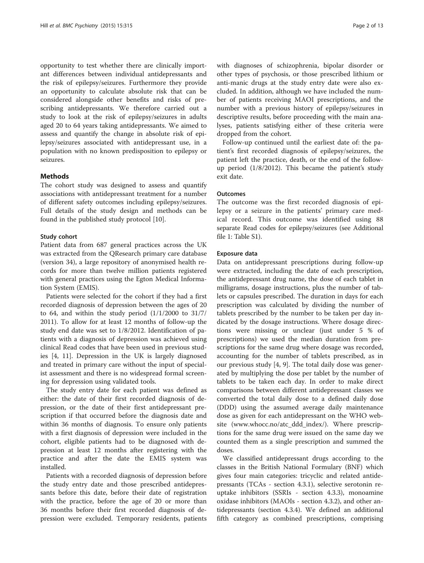opportunity to test whether there are clinically important differences between individual antidepressants and the risk of epilepsy/seizures. Furthermore they provide an opportunity to calculate absolute risk that can be considered alongside other benefits and risks of prescribing antidepressants. We therefore carried out a study to look at the risk of epilepsy/seizures in adults aged 20 to 64 years taking antidepressants. We aimed to assess and quantify the change in absolute risk of epilepsy/seizures associated with antidepressant use, in a population with no known predisposition to epilepsy or seizures.

#### **Methods**

The cohort study was designed to assess and quantify associations with antidepressant treatment for a number of different safety outcomes including epilepsy/seizures. Full details of the study design and methods can be found in the published study protocol [[10\]](#page-12-0).

#### Study cohort

Patient data from 687 general practices across the UK was extracted from the QResearch primary care database (version 34), a large repository of anonymised health records for more than twelve million patients registered with general practices using the Egton Medical Information System (EMIS).

Patients were selected for the cohort if they had a first recorded diagnosis of depression between the ages of 20 to 64, and within the study period (1/1/2000 to 31/7/ 2011). To allow for at least 12 months of follow-up the study end date was set to 1/8/2012. Identification of patients with a diagnosis of depression was achieved using clinical Read codes that have been used in previous studies [\[4](#page-12-0), [11](#page-12-0)]. Depression in the UK is largely diagnosed and treated in primary care without the input of specialist assessment and there is no widespread formal screening for depression using validated tools.

The study entry date for each patient was defined as either: the date of their first recorded diagnosis of depression, or the date of their first antidepressant prescription if that occurred before the diagnosis date and within 36 months of diagnosis. To ensure only patients with a first diagnosis of depression were included in the cohort, eligible patients had to be diagnosed with depression at least 12 months after registering with the practice and after the date the EMIS system was installed.

Patients with a recorded diagnosis of depression before the study entry date and those prescribed antidepressants before this date, before their date of registration with the practice, before the age of 20 or more than 36 months before their first recorded diagnosis of depression were excluded. Temporary residents, patients

with diagnoses of schizophrenia, bipolar disorder or other types of psychosis, or those prescribed lithium or anti-manic drugs at the study entry date were also excluded. In addition, although we have included the number of patients receiving MAOI prescriptions, and the number with a previous history of epilepsy/seizures in descriptive results, before proceeding with the main analyses, patients satisfying either of these criteria were dropped from the cohort.

Follow-up continued until the earliest date of: the patient's first recorded diagnosis of epilepsy/seizures, the patient left the practice, death, or the end of the followup period (1/8/2012). This became the patient's study exit date.

#### **Outcomes**

The outcome was the first recorded diagnosis of epilepsy or a seizure in the patients' primary care medical record. This outcome was identified using 88 separate Read codes for epilepsy/seizures (see Additional file [1](#page-11-0): Table S1).

#### Exposure data

Data on antidepressant prescriptions during follow-up were extracted, including the date of each prescription, the antidepressant drug name, the dose of each tablet in milligrams, dosage instructions, plus the number of tablets or capsules prescribed. The duration in days for each prescription was calculated by dividing the number of tablets prescribed by the number to be taken per day indicated by the dosage instructions. Where dosage directions were missing or unclear (just under 5 % of prescriptions) we used the median duration from prescriptions for the same drug where dosage was recorded, accounting for the number of tablets prescribed, as in our previous study [\[4](#page-12-0), [9](#page-12-0)]. The total daily dose was generated by multiplying the dose per tablet by the number of tablets to be taken each day. In order to make direct comparisons between different antidepressant classes we converted the total daily dose to a defined daily dose (DDD) using the assumed average daily maintenance dose as given for each antidepressant on the WHO website [\(www.whocc.no/atc\\_ddd\\_index/](http://www.whocc.no/atc_ddd_index/)). Where prescriptions for the same drug were issued on the same day we counted them as a single prescription and summed the doses.

We classified antidepressant drugs according to the classes in the British National Formulary (BNF) which gives four main categories: tricyclic and related antidepressants (TCAs - section 4.3.1), selective serotonin reuptake inhibitors (SSRIs - section 4.3.3), monoamine oxidase inhibitors (MAOIs - section 4.3.2), and other antidepressants (section 4.3.4). We defined an additional fifth category as combined prescriptions, comprising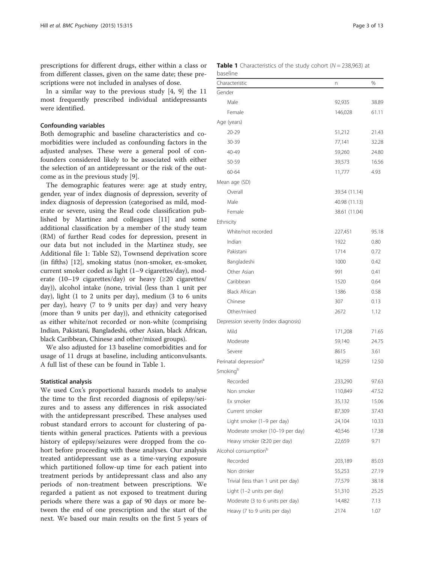<span id="page-2-0"></span>prescriptions for different drugs, either within a class or from different classes, given on the same date; these prescriptions were not included in analyses of dose.

In a similar way to the previous study [[4, 9](#page-12-0)] the 11 most frequently prescribed individual antidepressants were identified.

#### Confounding variables

Both demographic and baseline characteristics and comorbidities were included as confounding factors in the adjusted analyses. These were a general pool of confounders considered likely to be associated with either the selection of an antidepressant or the risk of the outcome as in the previous study [\[9](#page-12-0)].

The demographic features were: age at study entry, gender, year of index diagnosis of depression, severity of index diagnosis of depression (categorised as mild, moderate or severe, using the Read code classification published by Martinez and colleagues [[11](#page-12-0)] and some additional classification by a member of the study team (RM) of further Read codes for depression, present in our data but not included in the Martinez study, see Additional file [1](#page-11-0): Table S2), Townsend deprivation score (in fifths) [[12\]](#page-12-0), smoking status (non-smoker, ex-smoker, current smoker coded as light (1–9 cigarettes/day), moderate (10–19 cigarettes/day) or heavy  $(\geq 20 \text{ eigen}$ day)), alcohol intake (none, trivial (less than 1 unit per day), light (1 to 2 units per day), medium (3 to 6 units per day), heavy (7 to 9 units per day) and very heavy (more than 9 units per day)), and ethnicity categorised as either white/not recorded or non-white (comprising Indian, Pakistani, Bangladeshi, other Asian, black African, black Caribbean, Chinese and other/mixed groups).

We also adjusted for 13 baseline comorbidities and for usage of 11 drugs at baseline, including anticonvulsants. A full list of these can be found in Table 1.

#### Statistical analysis

We used Cox's proportional hazards models to analyse the time to the first recorded diagnosis of epilepsy/seizures and to assess any differences in risk associated with the antidepressant prescribed. These analyses used robust standard errors to account for clustering of patients within general practices. Patients with a previous history of epilepsy/seizures were dropped from the cohort before proceeding with these analyses. Our analysis treated antidepressant use as a time-varying exposure which partitioned follow-up time for each patient into treatment periods by antidepressant class and also any periods of non-treatment between prescriptions. We regarded a patient as not exposed to treatment during periods where there was a gap of 90 days or more between the end of one prescription and the start of the next. We based our main results on the first 5 years of

|  |  | . ugu - |  |
|--|--|---------|--|
|  |  |         |  |
|  |  |         |  |
|  |  |         |  |

|          | <b>Table 1</b> Characteristics of the study cohort ( $N = 238,963$ ) at |  |  |  |
|----------|-------------------------------------------------------------------------|--|--|--|
| baseline |                                                                         |  |  |  |

| Characteristic                        | n             | %     |
|---------------------------------------|---------------|-------|
| Gender                                |               |       |
| Male                                  | 92,935        | 38.89 |
| Female                                | 146,028       | 61.11 |
| Age (years)                           |               |       |
| $20 - 29$                             | 51,212        | 21.43 |
| 30-39                                 | 77,141        | 32.28 |
| 40-49                                 | 59,260        | 24.80 |
| 50-59                                 | 39,573        | 16.56 |
| 60-64                                 | 11,777        | 4.93  |
| Mean age (SD)                         |               |       |
| Overall                               | 39.54 (11.14) |       |
| Male                                  | 40.98 (11.13) |       |
| Female                                | 38.61 (11.04) |       |
| Ethnicity                             |               |       |
| White/not recorded                    | 227,451       | 95.18 |
| Indian                                | 1922          | 0.80  |
| Pakistani                             | 1714          | 0.72  |
| Bangladeshi                           | 1000          | 0.42  |
| Other Asian                           | 991           | 0.41  |
| Caribbean                             | 1520          | 0.64  |
| <b>Black African</b>                  | 1386          | 0.58  |
| Chinese                               | 307           | 0.13  |
| Other/mixed                           | 2672          | 1.12  |
| Depression severity (index diagnosis) |               |       |
| Mild                                  | 171,208       | 71.65 |
| Moderate                              | 59,140        | 24.75 |
| Severe                                | 8615          | 3.61  |
| Perinatal depression <sup>a</sup>     | 18,259        | 12.50 |
| Smokingb                              |               |       |
| Recorded                              | 233,290       | 97.63 |
| Non smoker                            | 110,849       | 47.52 |
| Ex smoker                             | 35,132        | 15.06 |
| Current smoker                        | 87,309        | 37.43 |
| Light smoker (1-9 per day)            | 24,104        | 10.33 |
| Moderate smoker (10-19 per day)       | 40,546        | 17.38 |
| Heavy smoker (≥20 per day)            | 22,659        | 9.71  |
| Alcohol consumption <sup>b</sup>      |               |       |
| Recorded                              | 203,189       | 85.03 |
| Non drinker                           | 55,253        | 27.19 |
| Trivial (less than 1 unit per day)    | 77,579        | 38.18 |
| Light (1-2 units per day)             | 51,310        | 25.25 |
| Moderate (3 to 6 units per day)       | 14,482        | 7.13  |
| Heavy (7 to 9 units per day)          | 2174          | 1.07  |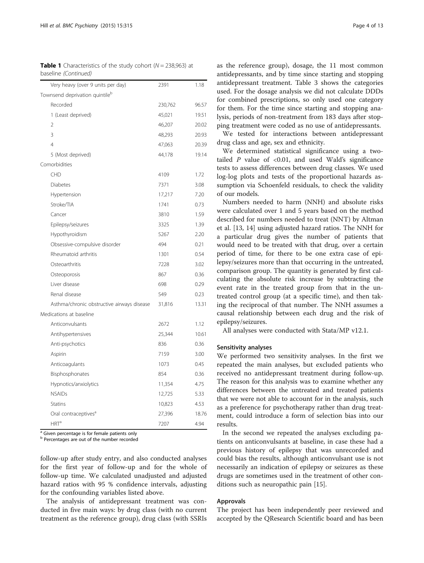| Very heavy (over 9 units per day)          | 2391    | 1.18  |
|--------------------------------------------|---------|-------|
| Townsend deprivation quintile <sup>b</sup> |         |       |
| Recorded                                   | 230,762 | 96.57 |
| 1 (Least deprived)                         | 45,021  | 19.51 |
| $\overline{2}$                             | 46,207  | 20.02 |
| 3                                          | 48,293  | 20.93 |
| $\overline{4}$                             | 47,063  | 20.39 |
| 5 (Most deprived)                          | 44,178  | 19.14 |
| Comorbidities                              |         |       |
| CHD                                        | 4109    | 1.72  |
| <b>Diabetes</b>                            | 7371    | 3.08  |
| Hypertension                               | 17,217  | 7.20  |
| Stroke/TIA                                 | 1741    | 0.73  |
| Cancer                                     | 3810    | 1.59  |
| Epilepsy/seizures                          | 3325    | 1.39  |
| Hypothyroidism                             | 5267    | 2.20  |
| Obsessive-compulsive disorder              | 494     | 0.21  |
| Rheumatoid arthritis                       | 1301    | 0.54  |
| Osteoarthritis                             | 7228    | 3.02  |
| Osteoporosis                               | 867     | 0.36  |
| Liver disease                              | 698     | 0.29  |
| Renal disease                              | 549     | 0.23  |
| Asthma/chronic obstructive airways disease | 31,816  | 13.31 |
| Medications at baseline                    |         |       |
| Anticonvulsants                            | 2672    | 1.12  |
| Antihypertensives                          | 25,344  | 10.61 |
| Anti-psychotics                            | 836     | 0.36  |
| Aspirin                                    | 7159    | 3.00  |
| Anticoagulants                             | 1073    | 0.45  |
| Bisphosphonates                            | 854     | 0.36  |
| Hypnotics/anxiolytics                      | 11,354  | 4.75  |
| <b>NSAIDs</b>                              | 12,725  | 5.33  |
| <b>Statins</b>                             | 10,823  | 4.53  |
| Oral contraceptives <sup>a</sup>           | 27,396  | 18.76 |
| $HRT^a$                                    | 7207    | 4.94  |

**Table 1** Characteristics of the study cohort ( $N = 238,963$ ) at baseline (Continued)

<sup>a</sup> Given percentage is for female patients only

b Percentages are out of the number recorded

follow-up after study entry, and also conducted analyses for the first year of follow-up and for the whole of follow-up time. We calculated unadjusted and adjusted hazard ratios with 95 % confidence intervals, adjusting for the confounding variables listed above.

The analysis of antidepressant treatment was conducted in five main ways: by drug class (with no current treatment as the reference group), drug class (with SSRIs as the reference group), dosage, the 11 most common antidepressants, and by time since starting and stopping antidepressant treatment. Table [3](#page-6-0) shows the categories used. For the dosage analysis we did not calculate DDDs for combined prescriptions, so only used one category for them. For the time since starting and stopping analysis, periods of non-treatment from 183 days after stopping treatment were coded as no use of antidepressants.

We tested for interactions between antidepressant drug class and age, sex and ethnicity.

We determined statistical significance using a twotailed  $P$  value of <0.01, and used Wald's significance tests to assess differences between drug classes. We used log-log plots and tests of the proportional hazards assumption via Schoenfeld residuals, to check the validity of our models.

Numbers needed to harm (NNH) and absolute risks were calculated over 1 and 5 years based on the method described for numbers needed to treat (NNT) by Altman et al. [[13, 14\]](#page-12-0) using adjusted hazard ratios. The NNH for a particular drug gives the number of patients that would need to be treated with that drug, over a certain period of time, for there to be one extra case of epilepsy/seizures more than that occurring in the untreated, comparison group. The quantity is generated by first calculating the absolute risk increase by subtracting the event rate in the treated group from that in the untreated control group (at a specific time), and then taking the reciprocal of that number. The NNH assumes a causal relationship between each drug and the risk of epilepsy/seizures.

All analyses were conducted with Stata/MP v12.1.

#### Sensitivity analyses

We performed two sensitivity analyses. In the first we repeated the main analyses, but excluded patients who received no antidepressant treatment during follow-up. The reason for this analysis was to examine whether any differences between the untreated and treated patients that we were not able to account for in the analysis, such as a preference for psychotherapy rather than drug treatment, could introduce a form of selection bias into our results.

In the second we repeated the analyses excluding patients on anticonvulsants at baseline, in case these had a previous history of epilepsy that was unrecorded and could bias the results, although anticonvulsant use is not necessarily an indication of epilepsy or seizures as these drugs are sometimes used in the treatment of other conditions such as neuropathic pain [\[15\]](#page-12-0).

#### Approvals

The project has been independently peer reviewed and accepted by the QResearch Scientific board and has been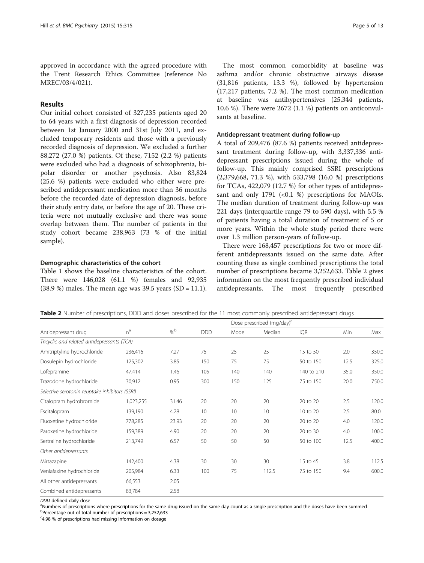approved in accordance with the agreed procedure with the Trent Research Ethics Committee (reference No MREC/03/4/021).

#### Results

Our initial cohort consisted of 327,235 patients aged 20 to 64 years with a first diagnosis of depression recorded between 1st January 2000 and 31st July 2011, and excluded temporary residents and those with a previously recorded diagnosis of depression. We excluded a further 88,272 (27.0 %) patients. Of these, 7152 (2.2 %) patients were excluded who had a diagnosis of schizophrenia, bipolar disorder or another psychosis. Also 83,824 (25.6 %) patients were excluded who either were prescribed antidepressant medication more than 36 months before the recorded date of depression diagnosis, before their study entry date, or before the age of 20. These criteria were not mutually exclusive and there was some overlap between them. The number of patients in the study cohort became 238,963 (73 % of the initial sample).

#### Demographic characteristics of the cohort

Table [1](#page-2-0) shows the baseline characteristics of the cohort. There were 146,028 (61.1 %) females and 92,935 (38.9 %) males. The mean age was 39.5 years (SD = 11.1).

The most common comorbidity at baseline was asthma and/or chronic obstructive airways disease (31,816 patients, 13.3 %), followed by hypertension (17,217 patients, 7.2 %). The most common medication at baseline was antihypertensives (25,344 patients, 10.6 %). There were 2672 (1.1 %) patients on anticonvulsants at baseline.

#### Antidepressant treatment during follow-up

A total of 209,476 (87.6 %) patients received antidepressant treatment during follow-up, with 3,337,336 antidepressant prescriptions issued during the whole of follow-up. This mainly comprised SSRI prescriptions (2,379,668, 71.3 %), with 533,798 (16.0 %) prescriptions for TCAs, 422,079 (12.7 %) for other types of antidepressant and only  $1791$  (<0.1 %) prescriptions for MAOIs. The median duration of treatment during follow-up was 221 days (interquartile range 79 to 590 days), with 5.5 % of patients having a total duration of treatment of 5 or more years. Within the whole study period there were over 1.3 million person-years of follow-up.

There were 168,457 prescriptions for two or more different antidepressants issued on the same date. After counting these as single combined prescriptions the total number of prescriptions became 3,252,633. Table 2 gives information on the most frequently prescribed individual antidepressants. The most frequently prescribed

Table 2 Number of prescriptions, DDD and doses prescribed for the 11 most commonly prescribed antidepressant drugs

|                                                | $n^a$     |          |            | Dose prescribed (mg/day) <sup>c</sup> |        |            |      |       |
|------------------------------------------------|-----------|----------|------------|---------------------------------------|--------|------------|------|-------|
| Antidepressant drug                            |           | $% ^{b}$ | <b>DDD</b> | Mode                                  | Median | <b>IQR</b> | Min  | Max   |
| Tricyclic and related antidepressants (TCA)    |           |          |            |                                       |        |            |      |       |
| Amitriptyline hydrochloride                    | 236,416   | 7.27     | 75         | 25                                    | 25     | 15 to 50   | 2.0  | 350.0 |
| Dosulepin hydrochloride                        | 125,302   | 3.85     | 150        | 75                                    | 75     | 50 to 150  | 12.5 | 325.0 |
| Lofepramine                                    | 47,414    | 1.46     | 105        | 140                                   | 140    | 140 to 210 | 35.0 | 350.0 |
| Trazodone hydrochloride                        | 30,912    | 0.95     | 300        | 150                                   | 125    | 75 to 150  | 20.0 | 750.0 |
| Selective serotonin reuptake inhibitors (SSRI) |           |          |            |                                       |        |            |      |       |
| Citalopram hydrobromide                        | 1,023,255 | 31.46    | 20         | 20                                    | 20     | 20 to 20   | 2.5  | 120.0 |
| Escitalopram                                   | 139,190   | 4.28     | 10         | 10                                    | 10     | 10 to 20   | 2.5  | 80.0  |
| Fluoxetine hydrochloride                       | 778,285   | 23.93    | 20         | 20                                    | 20     | 20 to 20   | 4.0  | 120.0 |
| Paroxetine hydrochloride                       | 159,389   | 4.90     | 20         | 20                                    | 20     | 20 to 30   | 4.0  | 100.0 |
| Sertraline hydrochloride                       | 213,749   | 6.57     | 50         | 50                                    | 50     | 50 to 100  | 12.5 | 400.0 |
| Other antidepressants                          |           |          |            |                                       |        |            |      |       |
| Mirtazapine                                    | 142,400   | 4.38     | 30         | 30                                    | 30     | 15 to 45   | 3.8  | 112.5 |
| Venlafaxine hydrochloride                      | 205,984   | 6.33     | 100        | 75                                    | 112.5  | 75 to 150  | 9.4  | 600.0 |
| All other antidepressants                      | 66,553    | 2.05     |            |                                       |        |            |      |       |
| Combined antidepressants                       | 83,784    | 2.58     |            |                                       |        |            |      |       |

DDD defined daily dose

<sup>a</sup>Numbers of prescriptions where prescriptions for the same drug issued on the same day count as a single prescription and the doses have been summed <sup>b</sup>Percentage out of total number of prescriptions = 3,252,633

<sup>c</sup>4.98 % of prescriptions had missing information on dosage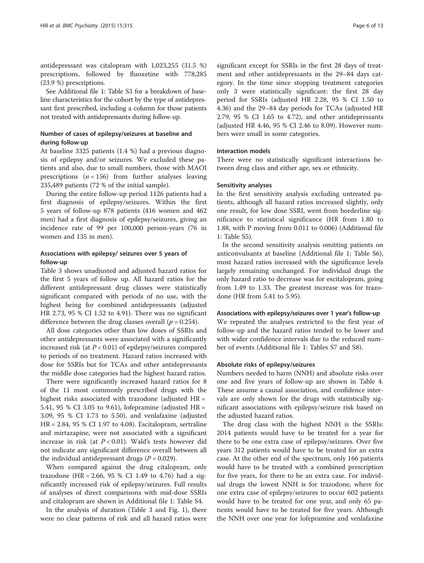antidepressant was citalopram with 1,023,255 (31.5 %) prescriptions, followed by fluoxetine with 778,285 (23.9 %) prescriptions.

See Additional file [1](#page-11-0): Table S3 for a breakdown of baseline characteristics for the cohort by the type of antidepressant first prescribed, including a column for those patients not treated with antidepressants during follow-up.

### Number of cases of epilepsy/seizures at baseline and during follow-up

At baseline 3325 patients (1.4 %) had a previous diagnosis of epilepsy and/or seizures. We excluded these patients and also, due to small numbers, those with MAOI prescriptions  $(n = 156)$  from further analyses leaving 235,489 patients (72 % of the initial sample).

During the entire follow-up period 1126 patients had a first diagnosis of epilepsy/seizures. Within the first 5 years of follow-up 878 patients (416 women and 462 men) had a first diagnosis of epilepsy/seizures, giving an incidence rate of 99 per 100,000 person-years (76 in women and 135 in men).

## Associations with epilepsy/ seizures over 5 years of follow-up

Table [3](#page-6-0) shows unadjusted and adjusted hazard ratios for the first 5 years of follow up. All hazard ratios for the different antidepressant drug classes were statistically significant compared with periods of no use, with the highest being for combined antidepressants (adjusted HR 2.73, 95 % CI 1.52 to 4.91). There was no significant difference between the drug classes overall ( $p = 0.254$ ).

All dose categories other than low doses of SSRIs and other antidepressants were associated with a significantly increased risk (at  $P < 0.01$ ) of epilepsy/seizures compared to periods of no treatment. Hazard ratios increased with dose for SSRIs but for TCAs and other antidepressants the middle dose categories had the highest hazard ratios.

There were significantly increased hazard ratios for 8 of the 11 most commonly prescribed drugs with the highest risks associated with trazodone (adjusted HR = 5.41, 95 % CI 3.05 to 9.61), lofepramine (adjusted HR = 3.09, 95 % CI 1.73 to 5.50), and venlafaxine (adjusted HR = 2.84, 95 % CI 1.97 to 4.08). Escitalopram, sertraline and mirtazapine, were not associated with a significant increase in risk (at  $P < 0.01$ ). Wald's tests however did not indicate any significant difference overall between all the individual antidepressant drugs  $(P = 0.029)$ .

When compared against the drug citalopram, only trazodone (HR = 2.66, 95 % CI 1.49 to 4.76) had a significantly increased risk of epilepsy/seizures. Full results of analyses of direct comparisons with mid-dose SSRIs and citalopram are shown in Additional file [1](#page-11-0): Table S4.

In the analysis of duration (Table [3](#page-6-0) and Fig. [1](#page-7-0)), there were no clear patterns of risk and all hazard ratios were

significant except for SSRIs in the first 28 days of treatment and other antidepressants in the 29–84 days category. In the time since stopping treatment categories only 3 were statistically significant: the first 28 day period for SSRIs (adjusted HR 2.28, 95 % CI 1.50 to 4.36) and the 29–84 day periods for TCAs (adjusted HR 2.79, 95 % CI 1.65 to 4.72), and other antidepressants (adjusted HR 4.46, 95 % CI 2.46 to 8.09). However numbers were small in some categories.

#### Interaction models

There were no statistically significant interactions between drug class and either age, sex or ethnicity.

#### Sensitivity analyses

In the first sensitivity analysis excluding untreated patients, although all hazard ratios increased slightly, only one result, for low dose SSRI, went from borderline significance to statistical significance (HR from 1.80 to 1.88, with P moving from 0.011 to 0.006) (Additional file [1:](#page-11-0) Table S5).

In the second sensitivity analysis omitting patients on anticonvulsants at baseline (Additional file [1](#page-11-0): Table S6), most hazard ratios increased with the significance levels largely remaining unchanged. For individual drugs the only hazard ratio to decrease was for escitalopram, going from 1.49 to 1.33. The greatest increase was for trazodone (HR from 5.41 to 5.95).

#### Associations with epilepsy/seizures over 1 year's follow-up

We repeated the analyses restricted to the first year of follow-up and the hazard ratios tended to be lower and with wider confidence intervals due to the reduced number of events (Additional file [1](#page-11-0): Tables S7 and S8).

### Absolute risks of epilepsy/seizures

Numbers needed to harm (NNH) and absolute risks over one and five years of follow-up are shown in Table [4](#page-8-0). These assume a causal association, and confidence intervals are only shown for the drugs with statistically significant associations with epilepsy/seizure risk based on the adjusted hazard ratios.

The drug class with the highest NNH is the SSRIs: 2014 patients would have to be treated for a year for there to be one extra case of epilepsy/seizures. Over five years 312 patients would have to be treated for an extra case. At the other end of the spectrum, only 166 patients would have to be treated with a combined prescription for five years, for there to be an extra case. For individual drugs the lowest NNH is for trazodone, where for one extra case of epilepsy/seizures to occur 602 patients would have to be treated for one year, and only 65 patients would have to be treated for five years. Although the NNH over one year for lofepramine and venlafaxine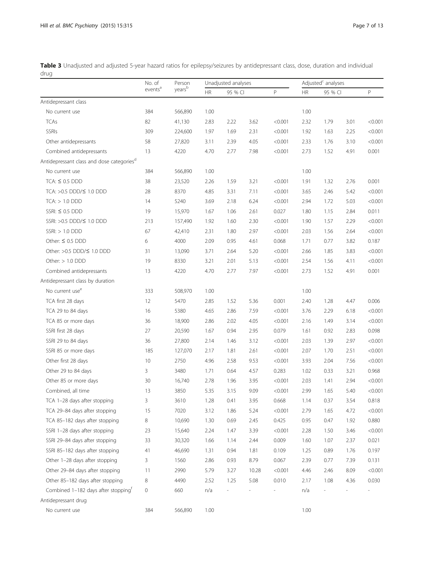<span id="page-6-0"></span>Table 3 Unadjusted and adjusted 5-year hazard ratios for epilepsy/seizures by antidepressant class, dose, duration and individual drug

|                                                       | No. of              | Person<br>yearsb | Unadjusted analyses |         |       | Adjusted <sup>c</sup> analyses |           |         |      |         |
|-------------------------------------------------------|---------------------|------------------|---------------------|---------|-------|--------------------------------|-----------|---------|------|---------|
|                                                       | events <sup>a</sup> |                  | <b>HR</b>           | 95 % CI |       | P                              | <b>HR</b> | 95 % CI |      | P       |
| Antidepressant class                                  |                     |                  |                     |         |       |                                |           |         |      |         |
| No current use                                        | 384                 | 566,890          | 1.00                |         |       |                                | 1.00      |         |      |         |
| <b>TCAs</b>                                           | 82                  | 41,130           | 2.83                | 2.22    | 3.62  | < 0.001                        | 2.32      | 1.79    | 3.01 | < 0.001 |
| SSRIs                                                 | 309                 | 224,600          | 1.97                | 1.69    | 2.31  | < 0.001                        | 1.92      | 1.63    | 2.25 | < 0.001 |
| Other antidepressants                                 | 58                  | 27,820           | 3.11                | 2.39    | 4.05  | < 0.001                        | 2.33      | 1.76    | 3.10 | < 0.001 |
| Combined antidepressants                              | 13                  | 4220             | 4.70                | 2.77    | 7.98  | < 0.001                        | 2.73      | 1.52    | 4.91 | 0.001   |
| Antidepressant class and dose categories <sup>d</sup> |                     |                  |                     |         |       |                                |           |         |      |         |
| No current use                                        | 384                 | 566,890          | 1.00                |         |       |                                | 1.00      |         |      |         |
| $TCA: 0.5 DDD$                                        | 38                  | 23,520           | 2.26                | 1.59    | 3.21  | < 0.001                        | 1.91      | 1.32    | 2.76 | 0.001   |
| TCA: >0.5 DDD/≤ 1.0 DDD                               | 28                  | 8370             | 4.85                | 3.31    | 7.11  | < 0.001                        | 3.65      | 2.46    | 5.42 | < 0.001 |
| $TCA:$ > 1.0 DDD                                      | 14                  | 5240             | 3.69                | 2.18    | 6.24  | < 0.001                        | 2.94      | 1.72    | 5.03 | < 0.001 |
| $SSRI: \leq 0.5$ DDD                                  | 19                  | 15,970           | 1.67                | 1.06    | 2.61  | 0.027                          | 1.80      | 1.15    | 2.84 | 0.011   |
| SSRI: >0.5 DDD/≤ 1.0 DDD                              | 213                 | 157,490          | 1.92                | 1.60    | 2.30  | < 0.001                        | 1.90      | 1.57    | 2.29 | < 0.001 |
| $SSRI:$ > 1.0 DDD                                     | 67                  | 42,410           | 2.31                | 1.80    | 2.97  | < 0.001                        | 2.03      | 1.56    | 2.64 | < 0.001 |
| Other: $\leq$ 0.5 DDD                                 | 6                   | 4000             | 2.09                | 0.95    | 4.61  | 0.068                          | 1.71      | 0.77    | 3.82 | 0.187   |
| Other: >0.5 DDD/≤ 1.0 DDD                             | 31                  | 13,090           | 3.71                | 2.64    | 5.20  | < 0.001                        | 2.66      | 1.85    | 3.83 | < 0.001 |
| Other: $> 1.0$ DDD                                    | 19                  | 8330             | 3.21                | 2.01    | 5.13  | < 0.001                        | 2.54      | 1.56    | 4.11 | < 0.001 |
| Combined antidepressants                              | 13                  | 4220             | 4.70                | 2.77    | 7.97  | < 0.001                        | 2.73      | 1.52    | 4.91 | 0.001   |
| Antidepressant class by duration                      |                     |                  |                     |         |       |                                |           |         |      |         |
| No current use <sup>e</sup>                           | 333                 | 508,970          | 1.00                |         |       |                                | 1.00      |         |      |         |
| TCA first 28 days                                     | 12                  | 5470             | 2.85                | 1.52    | 5.36  | 0.001                          | 2.40      | 1.28    | 4.47 | 0.006   |
| TCA 29 to 84 days                                     | 16                  | 5380             | 4.65                | 2.86    | 7.59  | < 0.001                        | 3.76      | 2.29    | 6.18 | < 0.001 |
| TCA 85 or more days                                   | 36                  | 18,900           | 2.86                | 2.02    | 4.05  | < 0.001                        | 2.16      | 1.49    | 3.14 | < 0.001 |
| SSRI first 28 days                                    | 27                  | 20,590           | 1.67                | 0.94    | 2.95  | 0.079                          | 1.61      | 0.92    | 2.83 | 0.098   |
| SSRI 29 to 84 days                                    | 36                  | 27,800           | 2.14                | 1.46    | 3.12  | < 0.001                        | 2.03      | 1.39    | 2.97 | < 0.001 |
| SSRI 85 or more days                                  | 185                 | 127,070          | 2.17                | 1.81    | 2.61  | < 0.001                        | 2.07      | 1.70    | 2.51 | < 0.001 |
| Other first 28 days                                   | 10                  | 2750             | 4.96                | 2.58    | 9.53  | < 0.001                        | 3.93      | 2.04    | 7.56 | < 0.001 |
| Other 29 to 84 days                                   | 3                   | 3480             | 1.71                | 0.64    | 4.57  | 0.283                          | 1.02      | 0.33    | 3.21 | 0.968   |
| Other 85 or more days                                 | 30                  | 16,740           | 2.78                | 1.96    | 3.95  | < 0.001                        | 2.03      | 1.41    | 2.94 | < 0.001 |
| Combined, all time                                    | 13                  | 3850             | 5.35                | 3.15    | 9.09  | < 0.001                        | 2.99      | 1.65    | 5.40 | < 0.001 |
| TCA 1-28 days after stopping                          | 3                   | 3610             | 1.28                | 0.41    | 3.95  | 0.668                          | 1.14      | 0.37    | 3.54 | 0.818   |
| TCA 29-84 days after stopping                         | 15                  | 7020             | 3.12                | 1.86    | 5.24  | < 0.001                        | 2.79      | 1.65    | 4.72 | < 0.001 |
| TCA 85-182 days after stopping                        | 8                   | 10,690           | 1.30                | 0.69    | 2.45  | 0.425                          | 0.95      | 0.47    | 1.92 | 0.880   |
| SSRI 1-28 days after stopping                         | 23                  | 15,640           | 2.24                | 1.47    | 3.39  | < 0.001                        | 2.28      | 1.50    | 3.46 | < 0.001 |
| SSRI 29-84 days after stopping                        | 33                  | 30,320           | 1.66                | 1.14    | 2.44  | 0.009                          | 1.60      | 1.07    | 2.37 | 0.021   |
| SSRI 85-182 days after stopping                       | 41                  | 46,690           | 1.31                | 0.94    | 1.81  | 0.109                          | 1.25      | 0.89    | 1.76 | 0.197   |
| Other 1-28 days after stopping                        | 3                   | 1560             | 2.86                | 0.93    | 8.79  | 0.067                          | 2.39      | 0.77    | 7.39 | 0.131   |
| Other 29-84 days after stopping                       | 11                  | 2990             | 5.79                | 3.27    | 10.28 | < 0.001                        | 4.46      | 2.46    | 8.09 | < 0.001 |
| Other 85-182 days after stopping                      | 8                   | 4490             | 2.52                | 1.25    | 5.08  | 0.010                          | 2.17      | 1.08    | 4.36 | 0.030   |
| Combined 1-182 days after stoppingf                   | 0                   | 660              | n/a                 |         |       |                                | n/a       |         |      |         |
| Antidepressant drug                                   |                     |                  |                     |         |       |                                |           |         |      |         |
| No current use                                        | 384                 | 566,890          | 1.00                |         |       |                                | 1.00      |         |      |         |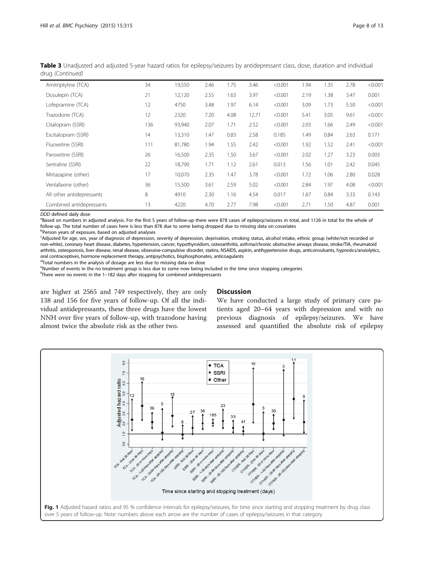| Amitriptyline (TCA)       | 34  | 19,550 | 2.46 | 1.75 | 3.46  | < 0.001 | 1.94 | 1.35 | 2.78 | < 0.001 |
|---------------------------|-----|--------|------|------|-------|---------|------|------|------|---------|
| Dosulepin (TCA)           | 21  | 12,120 | 2.55 | 1.63 | 3.97  | < 0.001 | 2.19 | 1.38 | 3.47 | 0.001   |
| Lofepramine (TCA)         | 12  | 4750   | 3.48 | 1.97 | 6.14  | < 0.001 | 3.09 | 1.73 | 5.50 | < 0.001 |
| Trazodone (TCA)           | 12  | 2320   | 7.20 | 4.08 | 12.71 | < 0.001 | 5.41 | 3.05 | 9.61 | < 0.001 |
| Citalopram (SSRI)         | 136 | 93,940 | 2.07 | 1.71 | 2.52  | < 0.001 | 2.03 | 1.66 | 2.49 | < 0.001 |
| Escitalopram (SSRI)       | 14  | 13,310 | 1.47 | 0.83 | 2.58  | 0.185   | 1.49 | 0.84 | 2.63 | 0.171   |
| Fluoxetine (SSRI)         | 111 | 81,780 | 1.94 | 1.55 | 2.42  | < 0.001 | 1.92 | 1.52 | 2.41 | < 0.001 |
| Paroxetine (SSRI)         | 26  | 16,500 | 2.35 | 1.50 | 3.67  | < 0.001 | 2.02 | 1.27 | 3.23 | 0.003   |
| Sertraline (SSRI)         | 22  | 18,790 | 1.71 | 1.12 | 2.61  | 0.013   | 1.56 | 1.01 | 2.42 | 0.045   |
| Mirtazapine (other)       | 17  | 10,070 | 2.35 | 1.47 | 3.78  | < 0.001 | 1.72 | 1.06 | 2.80 | 0.028   |
| Venlafaxine (other)       | 36  | 15,500 | 3.61 | 2.59 | 5.02  | < 0.001 | 2.84 | 1.97 | 4.08 | < 0.001 |
| All other antidepressants | 8   | 4910   | 2.30 | 1.16 | 4.54  | 0.017   | 1.67 | 0.84 | 3.33 | 0.143   |
| Combined antidepressants  | 13  | 4220   | 4.70 | 2.77 | 7.98  | < 0.001 | 2.71 | 1.50 | 4.87 | 0.001   |

<span id="page-7-0"></span>Table 3 Unadjusted and adjusted 5-year hazard ratios for epilepsy/seizures by antidepressant class, dose, duration and individual drug (Continued)

DDD defined daily dose

<sup>a</sup>Based on numbers in adjusted analysis. For the first 5 years of follow-up there were 878 cases of epilepsy/seizures in total, and 1126 in total for the whole of follow-up. The total number of cases here is less than 878 due to some being dropped due to missing data on covariates

<sup>b</sup>Person years of exposure, based on adjusted analyses

c Adjusted for age, sex, year of diagnosis of depression, severity of depression, deprivation, smoking status, alcohol intake, ethnic group (white/not recorded or non-white), coronary heart disease, diabetes, hypertension, cancer, hypothyroidism, osteoarthritis, asthma/chronic obstructive airways disease, stroke/TIA, rheumatoid arthritis, osteoporosis, liver disease, renal disease, obsessive-compulsive disorder, statins, NSAIDS, aspirin, antihypertensive drugs, anticonvulsants, hypnotics/anxiolytics, oral contraceptives, hormone replacement therapy, antipsychotics, bisphosphonates, anticoagulants

<sup>d</sup>Total numbers in the analysis of dosage are less due to missing data on dose

e<br>Number of events in the no treatment group is less due to some now being included in the time since stopping categories

f There were no events in the 1–182 days after stopping for combined antidepressants

are higher at 2565 and 749 respectively, they are only 138 and 156 for five years of follow-up. Of all the individual antidepressants, these three drugs have the lowest NNH over five years of follow-up, with trazodone having almost twice the absolute risk as the other two.

# **Discussion**

We have conducted a large study of primary care patients aged 20–64 years with depression and with no previous diagnosis of epilepsy/seizures. We have assessed and quantified the absolute risk of epilepsy

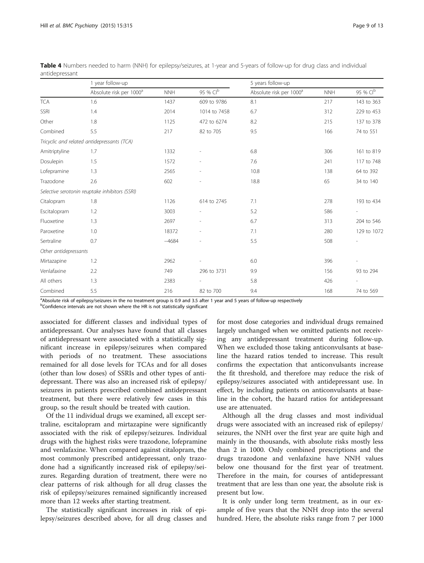|                       | 1 year follow-up                               |            |                | 5 years follow-up                   |            |                          |
|-----------------------|------------------------------------------------|------------|----------------|-------------------------------------|------------|--------------------------|
|                       | Absolute risk per 1000 <sup>a</sup>            | <b>NNH</b> | 95 % Clb       | Absolute risk per 1000 <sup>a</sup> | <b>NNH</b> | 95 % Cl <sup>b</sup>     |
| <b>TCA</b>            | 1.6                                            | 1437       | 609 to 9786    | 8.1                                 | 217        | 143 to 363               |
| SSRI                  | 1.4                                            | 2014       | 1014 to 7458   | 6.7                                 | 312        | 229 to 453               |
| Other                 | 1.8                                            | 1125       | 472 to 6274    | 8.2                                 | 215        | 137 to 378               |
| Combined              | 5.5                                            | 217        | 82 to 705      | 9.5                                 | 166        | 74 to 551                |
|                       | Tricyclic and related antidepressants (TCA)    |            |                |                                     |            |                          |
| Amitriptyline         | 1.7                                            | 1332       |                | 6.8                                 | 306        | 161 to 819               |
| Dosulepin             | 1.5                                            | 1572       |                | 7.6                                 | 241        | 117 to 748               |
| Lofepramine           | 1.3                                            | 2565       |                | 10.8                                | 138        | 64 to 392                |
| Trazodone             | 2.6                                            | 602        |                | 18.8                                | 65         | 34 to 140                |
|                       | Selective serotonin reuptake inhibitors (SSRI) |            |                |                                     |            |                          |
| Citalopram            | 1.8                                            | 1126       | 614 to 2745    | 7.1                                 | 278        | 193 to 434               |
| Escitalopram          | 1.2                                            | 3003       | $\overline{a}$ | 5.2                                 | 586        | $\overline{\phantom{a}}$ |
| Fluoxetine            | 1.3                                            | 2697       |                | 6.7                                 | 313        | 204 to 546               |
| Paroxetine            | 1.0                                            | 18372      |                | 7.1                                 | 280        | 129 to 1072              |
| Sertraline            | 0.7                                            | $-4684$    |                | 5.5                                 | 508        |                          |
| Other antidepressants |                                                |            |                |                                     |            |                          |
| Mirtazapine           | 1.2                                            | 2962       |                | 6.0                                 | 396        |                          |
| Venlafaxine           | 2.2                                            | 749        | 296 to 3731    | 9.9                                 | 156        | 93 to 294                |
| All others            | 1.3                                            | 2383       |                | 5.8                                 | 426        |                          |
| Combined              | 5.5                                            | 216        | 82 to 700      | 9.4                                 | 168        | 74 to 569                |

<span id="page-8-0"></span>Table 4 Numbers needed to harm (NNH) for epilepsy/seizures, at 1-year and 5-years of follow-up for drug class and individual antidepressant

a<br>Absolute risk of epilepsy/seizures in the no treatment group is 0.9 and 3.5 after 1 year and 5 years of follow-up respectively

<sup>b</sup>Confidence intervals are not shown where the HR is not statistically significant

associated for different classes and individual types of antidepressant. Our analyses have found that all classes of antidepressant were associated with a statistically significant increase in epilepsy/seizures when compared with periods of no treatment. These associations remained for all dose levels for TCAs and for all doses (other than low doses) of SSRIs and other types of antidepressant. There was also an increased risk of epilepsy/ seizures in patients prescribed combined antidepressant treatment, but there were relatively few cases in this group, so the result should be treated with caution.

Of the 11 individual drugs we examined, all except sertraline, escitalopram and mirtazapine were significantly associated with the risk of epilepsy/seizures. Individual drugs with the highest risks were trazodone, lofepramine and venlafaxine. When compared against citalopram, the most commonly prescribed antidepressant, only trazodone had a significantly increased risk of epilepsy/seizures. Regarding duration of treatment, there were no clear patterns of risk although for all drug classes the risk of epilepsy/seizures remained significantly increased more than 12 weeks after starting treatment.

The statistically significant increases in risk of epilepsy/seizures described above, for all drug classes and

for most dose categories and individual drugs remained largely unchanged when we omitted patients not receiving any antidepressant treatment during follow-up. When we excluded those taking anticonvulsants at baseline the hazard ratios tended to increase. This result confirms the expectation that anticonvulsants increase the fit threshold, and therefore may reduce the risk of epilepsy/seizures associated with antidepressant use. In effect, by including patients on anticonvulsants at baseline in the cohort, the hazard ratios for antidepressant use are attenuated.

Although all the drug classes and most individual drugs were associated with an increased risk of epilepsy/ seizures, the NNH over the first year are quite high and mainly in the thousands, with absolute risks mostly less than 2 in 1000. Only combined prescriptions and the drugs trazodone and venlafaxine have NNH values below one thousand for the first year of treatment. Therefore in the main, for courses of antidepressant treatment that are less than one year, the absolute risk is present but low.

It is only under long term treatment, as in our example of five years that the NNH drop into the several hundred. Here, the absolute risks range from 7 per 1000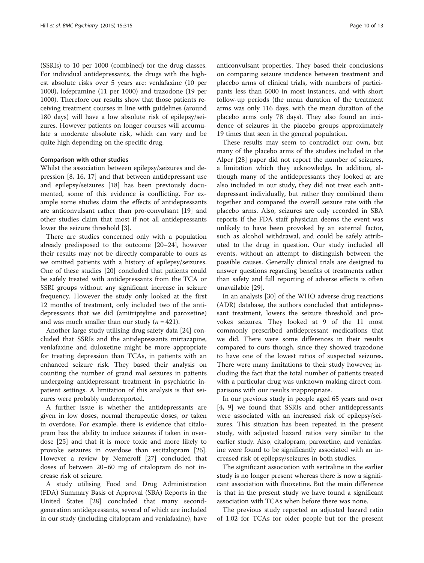(SSRIs) to 10 per 1000 (combined) for the drug classes. For individual antidepressants, the drugs with the highest absolute risks over 5 years are: venlafaxine (10 per 1000), lofepramine (11 per 1000) and trazodone (19 per 1000). Therefore our results show that those patients receiving treatment courses in line with guidelines (around 180 days) will have a low absolute risk of epilepsy/seizures. However patients on longer courses will accumulate a moderate absolute risk, which can vary and be quite high depending on the specific drug.

#### Comparison with other studies

Whilst the association between epilepsy/seizures and depression [\[8](#page-12-0), [16, 17\]](#page-12-0) and that between antidepressant use and epilepsy/seizures [\[18](#page-12-0)] has been previously documented, some of this evidence is conflicting. For example some studies claim the effects of antidepressants are anticonvulsant rather than pro-convulsant [\[19](#page-12-0)] and other studies claim that most if not all antidepressants lower the seizure threshold [\[3](#page-12-0)].

There are studies concerned only with a population already predisposed to the outcome [\[20](#page-12-0)–[24\]](#page-12-0), however their results may not be directly comparable to ours as we omitted patients with a history of epilepsy/seizures. One of these studies [[20](#page-12-0)] concluded that patients could be safely treated with antidepressants from the TCA or SSRI groups without any significant increase in seizure frequency. However the study only looked at the first 12 months of treatment, only included two of the antidepressants that we did (amitriptyline and paroxetine) and was much smaller than our study ( $n = 421$ ).

Another large study utilising drug safety data [\[24\]](#page-12-0) concluded that SSRIs and the antidepressants mirtazapine, venlafaxine and duloxetine might be more appropriate for treating depression than TCAs, in patients with an enhanced seizure risk. They based their analysis on counting the number of grand mal seizures in patients undergoing antidepressant treatment in psychiatric inpatient settings. A limitation of this analysis is that seizures were probably underreported.

A further issue is whether the antidepressants are given in low doses, normal therapeutic doses, or taken in overdose. For example, there is evidence that citalopram has the ability to induce seizures if taken in overdose [[25\]](#page-12-0) and that it is more toxic and more likely to provoke seizures in overdose than escitalopram [\[26](#page-12-0)]. However a review by Nemeroff [[27\]](#page-12-0) concluded that doses of between 20–60 mg of citalopram do not increase risk of seizure.

A study utilising Food and Drug Administration (FDA) Summary Basis of Approval (SBA) Reports in the United States [\[28](#page-12-0)] concluded that many secondgeneration antidepressants, several of which are included in our study (including citalopram and venlafaxine), have anticonvulsant properties. They based their conclusions on comparing seizure incidence between treatment and placebo arms of clinical trials, with numbers of participants less than 5000 in most instances, and with short follow-up periods (the mean duration of the treatment arms was only 116 days, with the mean duration of the placebo arms only 78 days). They also found an incidence of seizures in the placebo groups approximately 19 times that seen in the general population.

These results may seem to contradict our own, but many of the placebo arms of the studies included in the Alper [\[28](#page-12-0)] paper did not report the number of seizures, a limitation which they acknowledge. In addition, although many of the antidepressants they looked at are also included in our study, they did not treat each antidepressant individually, but rather they combined them together and compared the overall seizure rate with the placebo arms. Also, seizures are only recorded in SBA reports if the FDA staff physician deems the event was unlikely to have been provoked by an external factor, such as alcohol withdrawal, and could be safely attributed to the drug in question. Our study included all events, without an attempt to distinguish between the possible causes. Generally clinical trials are designed to answer questions regarding benefits of treatments rather than safety and full reporting of adverse effects is often unavailable [\[29](#page-12-0)].

In an analysis [[30\]](#page-12-0) of the WHO adverse drug reactions (ADR) database, the authors concluded that antidepressant treatment, lowers the seizure threshold and provokes seizures. They looked at 9 of the 11 most commonly prescribed antidepressant medications that we did. There were some differences in their results compared to ours though, since they showed trazodone to have one of the lowest ratios of suspected seizures. There were many limitations to their study however, including the fact that the total number of patients treated with a particular drug was unknown making direct comparisons with our results inappropriate.

In our previous study in people aged 65 years and over [[4, 9](#page-12-0)] we found that SSRIs and other antidepressants were associated with an increased risk of epilepsy/seizures. This situation has been repeated in the present study, with adjusted hazard ratios very similar to the earlier study. Also, citalopram, paroxetine, and venlafaxine were found to be significantly associated with an increased risk of epilepsy/seizures in both studies.

The significant association with sertraline in the earlier study is no longer present whereas there is now a significant association with fluoxetine. But the main difference is that in the present study we have found a significant association with TCAs when before there was none.

The previous study reported an adjusted hazard ratio of 1.02 for TCAs for older people but for the present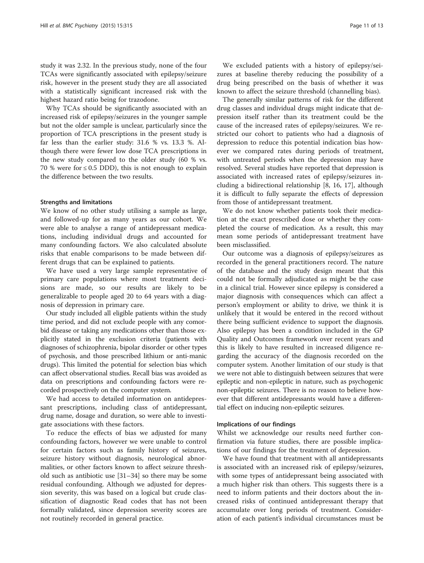study it was 2.32. In the previous study, none of the four TCAs were significantly associated with epilepsy/seizure risk, however in the present study they are all associated with a statistically significant increased risk with the highest hazard ratio being for trazodone.

Why TCAs should be significantly associated with an increased risk of epilepsy/seizures in the younger sample but not the older sample is unclear, particularly since the proportion of TCA prescriptions in the present study is far less than the earlier study: 31.6 % vs. 13.3 %. Although there were fewer low dose TCA prescriptions in the new study compared to the older study (60 % vs. 70 % were for  $\leq$  0.5 DDD), this is not enough to explain the difference between the two results.

#### Strengths and limitations

We know of no other study utilising a sample as large, and followed-up for as many years as our cohort. We were able to analyse a range of antidepressant medications, including individual drugs and accounted for many confounding factors. We also calculated absolute risks that enable comparisons to be made between different drugs that can be explained to patients.

We have used a very large sample representative of primary care populations where most treatment decisions are made, so our results are likely to be generalizable to people aged 20 to 64 years with a diagnosis of depression in primary care.

Our study included all eligible patients within the study time period, and did not exclude people with any comorbid disease or taking any medications other than those explicitly stated in the exclusion criteria (patients with diagnoses of schizophrenia, bipolar disorder or other types of psychosis, and those prescribed lithium or anti-manic drugs). This limited the potential for selection bias which can affect observational studies. Recall bias was avoided as data on prescriptions and confounding factors were recorded prospectively on the computer system.

We had access to detailed information on antidepressant prescriptions, including class of antidepressant, drug name, dosage and duration, so were able to investigate associations with these factors.

To reduce the effects of bias we adjusted for many confounding factors, however we were unable to control for certain factors such as family history of seizures, seizure history without diagnosis, neurological abnormalities, or other factors known to affect seizure threshold such as antibiotic use [[31](#page-12-0)–[34](#page-12-0)] so there may be some residual confounding. Although we adjusted for depression severity, this was based on a logical but crude classification of diagnostic Read codes that has not been formally validated, since depression severity scores are not routinely recorded in general practice.

We excluded patients with a history of epilepsy/seizures at baseline thereby reducing the possibility of a drug being prescribed on the basis of whether it was known to affect the seizure threshold (channelling bias).

The generally similar patterns of risk for the different drug classes and individual drugs might indicate that depression itself rather than its treatment could be the cause of the increased rates of epilepsy/seizures. We restricted our cohort to patients who had a diagnosis of depression to reduce this potential indication bias however we compared rates during periods of treatment, with untreated periods when the depression may have resolved. Several studies have reported that depression is associated with increased rates of epilepsy/seizures including a bidirectional relationship [\[8, 16, 17\]](#page-12-0), although it is difficult to fully separate the effects of depression from those of antidepressant treatment.

We do not know whether patients took their medication at the exact prescribed dose or whether they completed the course of medication. As a result, this may mean some periods of antidepressant treatment have been misclassified.

Our outcome was a diagnosis of epilepsy/seizures as recorded in the general practitioners record. The nature of the database and the study design meant that this could not be formally adjudicated as might be the case in a clinical trial. However since epilepsy is considered a major diagnosis with consequences which can affect a person's employment or ability to drive, we think it is unlikely that it would be entered in the record without there being sufficient evidence to support the diagnosis. Also epilepsy has been a condition included in the GP Quality and Outcomes framework over recent years and this is likely to have resulted in increased diligence regarding the accuracy of the diagnosis recorded on the computer system. Another limitation of our study is that we were not able to distinguish between seizures that were epileptic and non-epileptic in nature, such as psychogenic non-epileptic seizures. There is no reason to believe however that different antidepressants would have a differential effect on inducing non-epileptic seizures.

#### Implications of our findings

Whilst we acknowledge our results need further confirmation via future studies, there are possible implications of our findings for the treatment of depression.

We have found that treatment with all antidepressants is associated with an increased risk of epilepsy/seizures, with some types of antidepressant being associated with a much higher risk than others. This suggests there is a need to inform patients and their doctors about the increased risks of continued antidepressant therapy that accumulate over long periods of treatment. Consideration of each patient's individual circumstances must be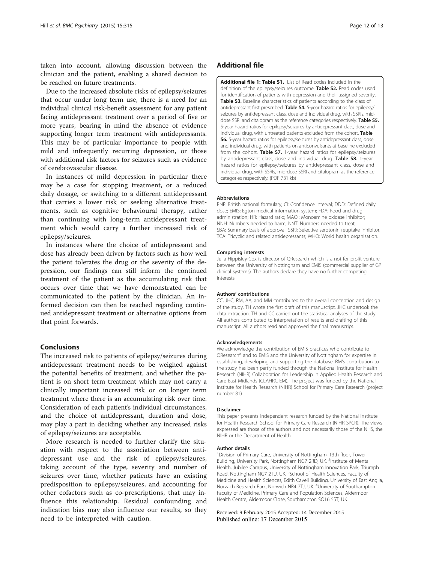<span id="page-11-0"></span>taken into account, allowing discussion between the clinician and the patient, enabling a shared decision to be reached on future treatments.

Due to the increased absolute risks of epilepsy/seizures that occur under long term use, there is a need for an individual clinical risk-benefit assessment for any patient facing antidepressant treatment over a period of five or more years, bearing in mind the absence of evidence supporting longer term treatment with antidepressants. This may be of particular importance to people with mild and infrequently recurring depression, or those with additional risk factors for seizures such as evidence of cerebrovascular disease.

In instances of mild depression in particular there may be a case for stopping treatment, or a reduced daily dosage, or switching to a different antidepressant that carries a lower risk or seeking alternative treatments, such as cognitive behavioural therapy, rather than continuing with long-term antidepressant treatment which would carry a further increased risk of epilepsy/seizures.

In instances where the choice of antidepressant and dose has already been driven by factors such as how well the patient tolerates the drug or the severity of the depression, our findings can still inform the continued treatment of the patient as the accumulating risk that occurs over time that we have demonstrated can be communicated to the patient by the clinician. An informed decision can then be reached regarding continued antidepressant treatment or alternative options from that point forwards.

#### Conclusions

The increased risk to patients of epilepsy/seizures during antidepressant treatment needs to be weighed against the potential benefits of treatment, and whether the patient is on short term treatment which may not carry a clinically important increased risk or on longer term treatment where there is an accumulating risk over time. Consideration of each patient's individual circumstances, and the choice of antidepressant, duration and dose, may play a part in deciding whether any increased risks of epilepsy/seizures are acceptable.

More research is needed to further clarify the situation with respect to the association between antidepressant use and the risk of epilepsy/seizures, taking account of the type, severity and number of seizures over time, whether patients have an existing predisposition to epilepsy/seizures, and accounting for other cofactors such as co-prescriptions, that may influence this relationship. Residual confounding and indication bias may also influence our results, so they need to be interpreted with caution.

# Additional file

[Additional file 1: Table S1.](dx.doi.org/10.1186/s12888-015-0701-9) List of Read codes included in the definition of the epilepsy/seizures outcome. Table S2. Read codes used for identification of patients with depression and their assigned severity. Table S3. Baseline characteristics of patients according to the class of antidepressant first prescribed. Table S4. 5-year hazard ratios for epilepsy/ seizures by antidepressant class, dose and individual drug, with SSRIs, middose SSRI and citalopram as the reference categories respectively. Table S5. 5-year hazard ratios for epilepsy/seizures by antidepressant class, dose and individual drug, with untreated patients excluded from the cohort. Table S6. 5-year hazard ratios for epilepsy/seizures by antidepressant class, dose and individual drug, with patients on anticonvulsants at baseline excluded from the cohort. Table S7. 1-year hazard ratios for epilepsy/seizures by antidepressant class, dose and individual drug. Table S8. 1-year hazard ratios for epilepsy/seizures by antidepressant class, dose and individual drug, with SSRIs, mid-dose SSRI and citalopram as the reference categories respectively. (PDF 731 kb)

#### **Abbreviations**

BNF: British national formulary; CI: Confidence interval; DDD: Defined daily dose; EMIS: Egton medical information system; FDA: Food and drug administration; HR: Hazard ratio; MAOI: Monoamine oxidase inhibitor; NNH: Numbers needed to harm; NNT: Numbers needed to treat; SBA: Summary basis of approval; SSRI: Selective serotonin reuptake inhibitor; TCA: Tricyclic and related antidepressants; WHO: World health organisation.

#### Competing interests

Julia Hippisley-Cox is director of QResearch which is a not for profit venture between the University of Nottingham and EMIS (commercial supplier of GP clinical systems). The authors declare they have no further competing interests.

#### Authors' contributions

CC, JHC, RM, AA, and MM contributed to the overall conception and design of the study. TH wrote the first draft of this manuscript. JHC undertook the data extraction. TH and CC carried out the statistical analyses of the study. All authors contributed to interpretation of results and drafting of this manuscript. All authors read and approved the final manuscript.

#### Acknowledgements

We acknowledge the contribution of EMIS practices who contribute to QResearch® and to EMIS and the University of Nottingham for expertise in establishing, developing and supporting the database. RM's contribution to the study has been partly funded through the National Institute for Health Research (NIHR) Collaboration for Leadership in Applied Health Research and Care East Midlands (CLAHRC EM). The project was funded by the National Institute for Health Research (NIHR) School for Primary Care Research (project number 81).

#### Disclaimer

This paper presents independent research funded by the National Institute for Health Research School for Primary Care Research (NIHR SPCR). The views expressed are those of the authors and not necessarily those of the NHS, the NIHR or the Department of Health.

#### Author details

<sup>1</sup> Division of Primary Care, University of Nottingham, 13th floor, Tower Building, University Park, Nottingham NG7 2RD, UK.<sup>2</sup>Institute of Mental Health, Jubilee Campus, University of Nottingham Innovation Park, Triumph Road, Nottingham NG7 2TU, UK. <sup>3</sup>School of Health Sciences, Faculty of Medicine and Health Sciences, Edith Cavell Building, University of East Anglia, Norwich Research Park, Norwich NR4 7TJ, UK. <sup>4</sup>University of Southampton Faculty of Medicine, Primary Care and Population Sciences, Aldermoor Health Centre, Aldermoor Close, Southampton SO16 5ST, UK.

Received: 9 February 2015 Accepted: 14 December 2015 Published online: 17 December 2015